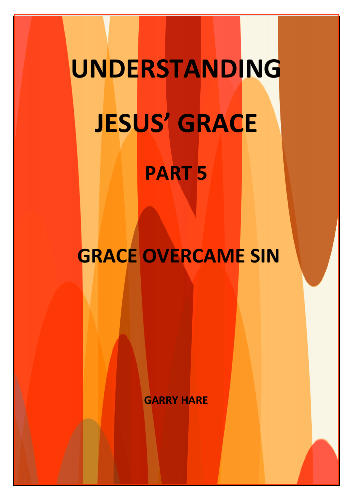# **UNDERSTANDING JESUS' GRACE**

## **PART 5**

**GRACE OVERCAME SIN**

**GARRY HARE**

**www.gracelovetruth.com**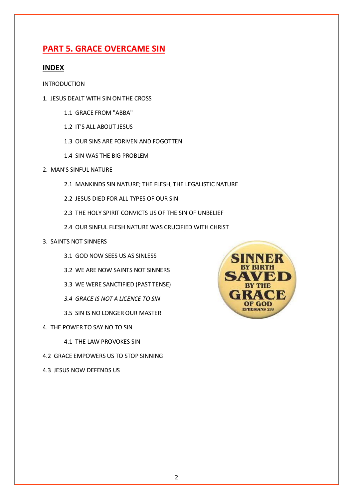### **PART 5. GRACE OVERCAME SIN**

#### **INDEX**

INTRODUCTION

- 1. JESUS DEALT WITH SIN ON THE CROSS
	- 1.1 GRACE FROM "ABBA"
	- 1.2 IT'S ALL ABOUT JESUS
	- 1.3 OUR SINS ARE FORIVEN AND FOGOTTEN
	- 1.4 SIN WAS THE BIG PROBLEM
- 2. MAN'S SINFUL NATURE
	- 2.1 MANKINDS SIN NATURE; THE FLESH, THE LEGALISTIC NATURE
	- 2.2 JESUS DIED FOR ALL TYPES OF OUR SIN
	- 2.3 THE HOLY SPIRIT CONVICTS US OF THE SIN OF UNBELIEF
	- 2.4 OUR SINFUL FLESH NATURE WAS CRUCIFIED WITH CHRIST

#### 3. SAINTS NOT SINNERS

- 3.1 GOD NOW SEES US AS SINLESS
- 3.2 WE ARE NOW SAINTS NOT SINNERS
- 3.3 WE WERE SANCTIFIED (PAST TENSE)
- *3.4 GRACE IS NOT A LICENCE TO SIN*
- 3.5 SIN IS NO LONGER OUR MASTER
- 4. THE POWER TO SAY NO TO SIN
	- 4.1 THE LAW PROVOKES SIN
- 4.2 GRACE EMPOWERS US TO STOP SINNING
- 4.3 JESUS NOW DEFENDS US

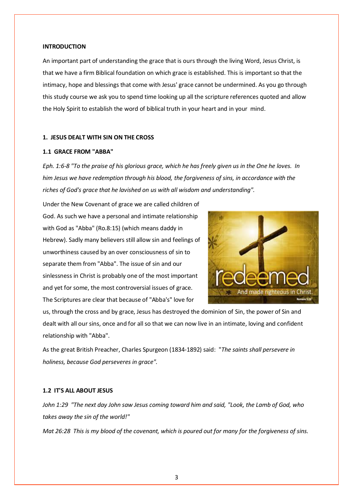#### **INTRODUCTION**

An important part of understanding the grace that is ours through the living Word, Jesus Christ, is that we have a firm Biblical foundation on which grace is established. This is important so that the intimacy, hope and blessings that come with Jesus' grace cannot be undermined. As you go through this study course we ask you to spend time looking up all the scripture references quoted and allow the Holy Spirit to establish the word of biblical truth in your heart and in your mind.

#### **1. JESUS DEALT WITH SIN ON THE CROSS**

#### **1.1 GRACE FROM "ABBA"**

*Eph. 1:6-8 "To the praise of his glorious grace, which he has freely given us in the One he loves. In him Jesus we have redemption through his blood, the forgiveness of sins, in accordance with the riches of God's grace that he lavished on us with all wisdom and understanding".* 

Under the New Covenant of grace we are called children of God. As such we have a personal and intimate relationship with God as "Abba" (Ro.8:15) (which means daddy in Hebrew). Sadly many believers still allow sin and feelings of unworthiness caused by an over consciousness of sin to separate them from "Abba". The issue of sin and our sinlessness in Christ is probably one of the most important and yet for some, the most controversial issues of grace. The Scriptures are clear that because of "Abba's" love for



us, through the cross and by grace, Jesus has destroyed the dominion of Sin, the power of Sin and dealt with all our sins, once and for all so that we can now live in an intimate, loving and confident relationship with "Abba".

As the great British Preacher, Charles Spurgeon (1834-1892) said: "*The saints shall persevere in holiness, because God perseveres in grace".*

#### **1.2 IT'S ALL ABOUT JESUS**

*John 1:29 "The next day John saw Jesus coming toward him and said, "Look, the Lamb of God, who takes away the sin of the world!"*

*Mat 26:28 This is my blood of the covenant, which is poured out for many for the forgiveness of sins.*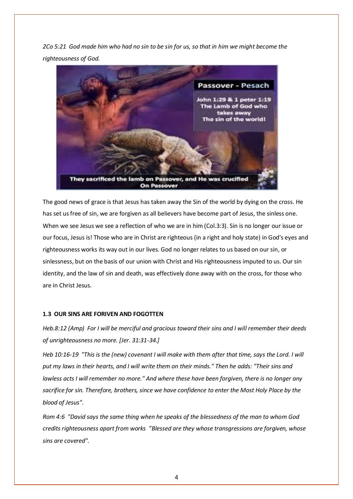*2Co 5:21 God made him who had no sin to be sin for us, so that in him we might become the righteousness of God.* 



The good news of grace is that Jesus has taken away the Sin of the world by dying on the cross. He has set us free of sin, we are forgiven as all believers have become part of Jesus, the sinless one. When we see Jesus we see a reflection of who we are in him (Col.3:3). Sin is no longer our issue or our focus, Jesus is! Those who are in Christ are righteous (in a right and holy state) in God's eyes and righteousness works its way out in our lives. God no longer relates to us based on our sin, or sinlessness, but on the basis of our union with Christ and His righteousness imputed to us. Our sin identity, and the law of sin and death, was effectively done away with on the cross, for those who are in Christ Jesus.

#### **1.3 OUR SINS ARE FORIVEN AND FOGOTTEN**

*Heb.8:12 (Amp) For I will be merciful and gracious toward their sins and I will remember their deeds of unrighteousness no more. [Jer. 31:31-34.]* 

*Heb 10:16-19 "This is the (new) covenant I will make with them after that time, says the Lord. I will put my laws in their hearts, and I will write them on their minds." Then he adds: "Their sins and lawless acts I will remember no more." And where these have been forgiven, there is no longer any sacrifice for sin. Therefore, brothers, since we have confidence to enter the Most Holy Place by the blood of Jesus".*

*Rom 4:6 "David says the same thing when he speaks of the blessedness of the man to whom God credits righteousness apart from works "Blessed are they whose transgressions are forgiven, whose sins are covered".*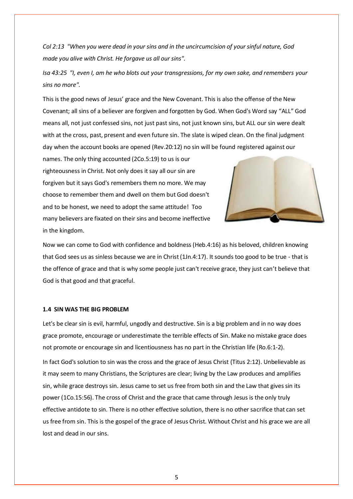*Col 2:13 "When you were dead in your sins and in the uncircumcision of your sinful nature, God made you alive with Christ. He forgave us all our sins".*

*Isa 43:25 "I, even I, am he who blots out your transgressions, for my own sake, and remembers your sins no more".* 

This is the good news of Jesus' grace and the New Covenant. This is also the offense of the New Covenant; all sins of a believer are forgiven and forgotten by God. When God's Word say "ALL" God means all, not just confessed sins, not just past sins, not just known sins, but ALL our sin were dealt with at the cross, past, present and even future sin. The slate is wiped clean. On the final judgment day when the account books are opened (Rev.20:12) no sin will be found registered against our

names. The only thing accounted (2Co.5:19) to us is our righteousness in Christ. Not only does it say all our sin are forgiven but it says God's remembers them no more. We may choose to remember them and dwell on them but God doesn't and to be honest, we need to adopt the same attitude! Too many believers are fixated on their sins and become ineffective in the kingdom.



Now we can come to God with confidence and boldness (Heb.4:16) as his beloved, children knowing that God sees us as sinless because we are in Christ (1Jn.4:17). It sounds too good to be true - that is the offence of grace and that is why some people just can't receive grace, they just can't believe that God is that good and that graceful.

#### **1.4 SIN WAS THE BIG PROBLEM**

Let's be clear sin is evil, harmful, ungodly and destructive. Sin is a big problem and in no way does grace promote, encourage or underestimate the terrible effects of Sin. Make no mistake grace does not promote or encourage sin and licentiousness has no part in the Christian life (Ro.6:1-2).

In fact God's solution to sin was the cross and the grace of Jesus Christ (Titus 2:12). Unbelievable as it may seem to many Christians, the Scriptures are clear; living by the Law produces and amplifies sin, while grace destroys sin. Jesus came to set us free from both sin and the Law that gives sin its power (1Co.15:56). The cross of Christ and the grace that came through Jesus is the only truly effective antidote to sin. There is no other effective solution, there is no other sacrifice that can set us free from sin. This is the gospel of the grace of Jesus Christ. Without Christ and his grace we are all lost and dead in our sins.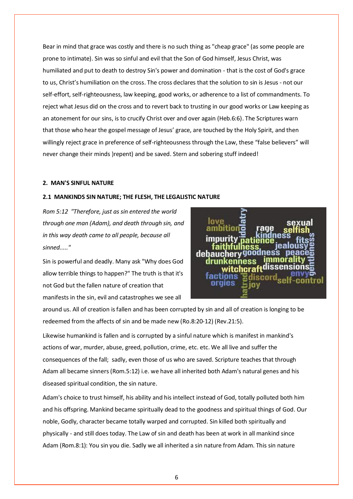Bear in mind that grace was costly and there is no such thing as "cheap grace" (as some people are prone to intimate). Sin was so sinful and evil that the Son of God himself, Jesus Christ, was humiliated and put to death to destroy Sin's power and domination - that is the cost of God's grace to us, Christ's humiliation on the cross. The cross declares that the solution to sin is Jesus - not our self-effort, self-righteousness, law keeping, good works, or adherence to a list of commandments. To reject what Jesus did on the cross and to revert back to trusting in our good works or Law keeping as an atonement for our sins, is to crucify Christ over and over again (Heb.6:6). The Scriptures warn that those who hear the gospel message of Jesus' grace, are touched by the Holy Spirit, and then willingly reject grace in preference of self-righteousness through the Law, these "false believers" will never change their minds )repent) and be saved. Stern and sobering stuff indeed!

#### **2. MAN'S SINFUL NATURE**

#### **2.1 MANKINDS SIN NATURE; THE FLESH, THE LEGALISTIC NATURE**

*Rom 5:12 "Therefore, just as sin entered the world through one man (Adam), and death through sin, and in this way death came to all people, because all sinned....."*

Sin is powerful and deadly. Many ask "Why does God allow terrible things to happen?" The truth is that it's not God but the fallen nature of creation that manifests in the sin, evil and catastrophes we see all



around us. All of creation is fallen and has been corrupted by sin and all of creation is longing to be redeemed from the affects of sin and be made new (Ro.8:20-12) (Rev.21:5).

Likewise humankind is fallen and is corrupted by a sinful nature which is manifest in mankind's actions of war, murder, abuse, greed, pollution, crime, etc. etc. We all live and suffer the consequences of the fall; sadly, even those of us who are saved. Scripture teaches that through Adam all became sinners (Rom.5:12) i.e. we have all inherited both Adam's natural genes and his diseased spiritual condition, the sin nature.

Adam's choice to trust himself, his ability and his intellect instead of God, totally polluted both him and his offspring. Mankind became spiritually dead to the goodness and spiritual things of God. Our noble, Godly, character became totally warped and corrupted. Sin killed both spiritually and physically - and still does today. The Law of sin and death has been at work in all mankind since Adam (Rom.8:1): You sin you die. Sadly we all inherited a sin nature from Adam. This sin nature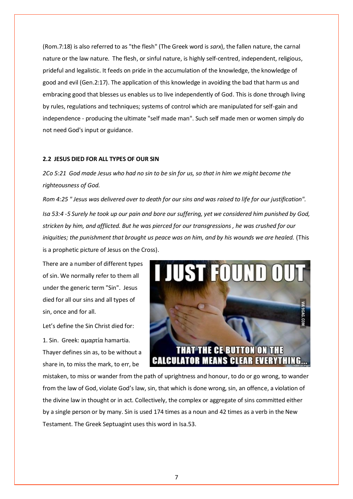(Rom.7:18) is also referred to as "the flesh" (The Greek word is *sarx*), the fallen nature, the carnal nature or the law nature. The flesh, or sinful nature, is highly self-centred, independent, religious, prideful and legalistic. It feeds on pride in the accumulation of the knowledge, the knowledge of good and evil (Gen.2:17). The application of this knowledge in avoiding the bad that harm us and embracing good that blesses us enables us to live independently of God. This is done through living by rules, regulations and techniques; systems of control which are manipulated for self-gain and independence - producing the ultimate "self made man". Such self made men or women simply do not need God's input or guidance.

#### **2.2 JESUS DIED FOR ALL TYPES OF OUR SIN**

*2Co 5:21 God made Jesus who had no sin to be sin for us, so that in him we might become the righteousness of God.* 

*Rom 4:25 " Jesus was delivered over to death for our sins and was raised to life for our justification". Isa 53:4 -5 Surely he took up our pain and bore our suffering, yet we considered him punished by God, stricken by him, and afflicted. But he was pierced for our transgressions , he was crushed for our iniquities; the punishment that brought us peace was on him, and by his wounds we are healed.* (This is a prophetic picture of Jesus on the Cross).

There are a number of different types of sin. We normally refer to them all under the generic term "Sin". Jesus died for all our sins and all types of sin, once and for all.

Let's define the Sin Christ died for:

1. Sin. Greek: αμαρτία hamartia. Thayer defines sin as, to be without a share in, to miss the mark, to err, be



mistaken, to miss or wander from the path of uprightness and honour, to do or go wrong, to wander from the law of God, violate God's law, sin, that which is done wrong, sin, an offence, a violation of the divine law in thought or in act. Collectively, the complex or aggregate of sins committed either by a single person or by many. Sin is used 174 times as a noun and 42 times as a verb in the New Testament. The Greek Septuagint uses this word in Isa.53.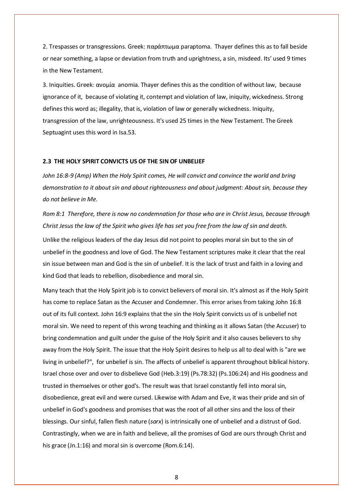2. Trespasses or transgressions. Greek: παράπτωμα paraptoma. Thayer defines this as to fall beside or near something, a lapse or deviation from truth and uprightness, a sin, misdeed. Its' used 9 times in the New Testament.

3. Iniquities. Greek: ανομία anomia. Thayer defines this as the condition of without law, because ignorance of it, because of violating it, contempt and violation of law, iniquity, wickedness. Strong defines this word as; illegality, that is, violation of law or generally wickedness. Iniquity, transgression of the law, unrighteousness. It's used 25 times in the New Testament. The Greek Septuagint uses this word in Isa.53.

#### **2.3 THE HOLY SPIRIT CONVICTS US OF THE SIN OF UNBELIEF**

*John 16:8-9 (Amp) When the Holy Spirit comes, He will convict and convince the world and bring demonstration to it about sin and about righteousness and about judgment: About sin, because they do not believe in Me.*

*Rom 8:1 Therefore, there is now no condemnation for those who are in Christ Jesus, because through Christ Jesus the law of the Spirit who gives life has set you free from the law of sin and death.* 

Unlike the religious leaders of the day Jesus did not point to peoples moral sin but to the sin of unbelief in the goodness and love of God. The New Testament scriptures make it clear that the real sin issue between man and God is the sin of unbelief. It is the lack of trust and faith in a loving and kind God that leads to rebellion, disobedience and moral sin.

Many teach that the Holy Spirit job is to convict believers of moral sin. It's almost as if the Holy Spirit has come to replace Satan as the Accuser and Condemner. This error arises from taking John 16:8 out of its full context. John 16:9 explains that the sin the Holy Spirit convicts us of is unbelief not moral sin. We need to repent of this wrong teaching and thinking as it allows Satan (the Accuser) to bring condemnation and guilt under the guise of the Holy Spirit and it also causes believers to shy away from the Holy Spirit. The issue that the Holy Spirit desires to help us all to deal with is "are we living in unbelief?", for unbelief is sin. The affects of unbelief is apparent throughout biblical history. Israel chose over and over to disbelieve God (Heb.3:19) (Ps.78:32) (Ps.106:24) and His goodness and trusted in themselves or other god's. The result was that Israel constantly fell into moral sin, disobedience, great evil and were cursed. Likewise with Adam and Eve, it was their pride and sin of unbelief in God's goodness and promises that was the root of all other sins and the loss of their blessings. Our sinful, fallen flesh nature (*sarx*) is intrinsically one of unbelief and a distrust of God. Contrastingly, when we are in faith and believe, all the promises of God are ours through Christ and his grace (Jn.1:16) and moral sin is overcome (Rom.6:14).

8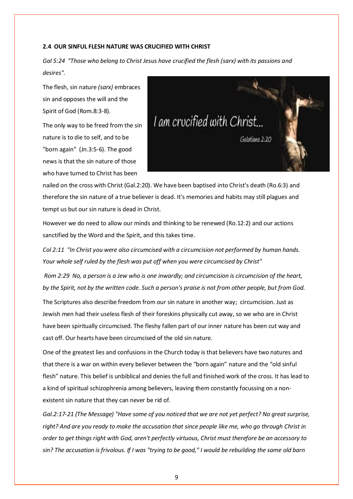#### **2.4 OUR SINFUL FLESH NATURE WAS CRUCIFIED WITH CHRIST**

*Gal 5:24 "Those who belong to Christ Jesus have crucified the flesh (sarx) with its passions and desires".* 

The flesh, sin nature *(sarx)* embraces sin and opposes the will and the Spirit of God (Rom.8:3-8).

The only way to be freed from the sin nature is to die to self, and to be "born again" (Jn.3:5-6). The good news is that the sin nature of those who have turned to Christ has been



nailed on the cross with Christ (Gal.2:20). We have been baptised into Christ's death (Ro.6:3) and therefore the sin nature of a true believer is dead. It's memories and habits may still plagues and tempt us but our sin nature is dead in Christ.

However we do need to allow our minds and thinking to be renewed (Ro.12:2) and our actions sanctified by the Word and the Spirit, and this takes time.

*Col 2:11 "In Christ you were also circumcised with a circumcision not performed by human hands. Your whole self ruled by the flesh was put off when you were circumcised by Christ"*

*Rom 2:29 No, a person is a Jew who is one inwardly; and circumcision is circumcision of the heart, by the Spirit, not by the written code. Such a person's praise is not from other people, but from God.* 

The Scriptures also describe freedom from our sin nature in another way; circumcision. Just as Jewish men had their useless flesh of their foreskins physically cut away, so we who are in Christ have been spiritually circumcised. The fleshy fallen part of our inner nature has been cut way and cast off. Our hearts have been circumcised of the old sin nature.

One of the greatest lies and confusions in the Church today is that believers have two natures and that there is a war on within every believer between the "born again" nature and the "old sinful flesh" nature. This belief is unbiblical and denies the full and finished work of the cross. It has lead to a kind of spiritual schizophrenia among believers, leaving them constantly focussing on a nonexistent sin nature that they can never be rid of.

*Gal.2:17-21 (The Message) "Have some of you noticed that we are not yet perfect? No great surprise, right? And are you ready to make the accusation that since people like me, who go through Christ in order to get things right with God, aren't perfectly virtuous, Christ must therefore be an accessory to sin? The accusation is frivolous. If I was "trying to be good," I would be rebuilding the same old barn*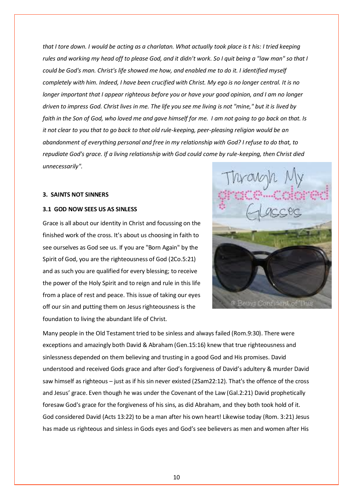*that I tore down. I would be acting as a charlatan. What actually took place is t his: I tried keeping rules and working my head off to please God, and it didn't work. So I quit being a "law man" so that I could be God's man. Christ's life showed me how, and enabled me to do it. I identified myself completely with him. Indeed, I have been crucified with Christ. My ego is no longer central. It is no longer important that I appear righteous before you or have your good opinion, and I am no longer driven to impress God. Christ lives in me. The life you see me living is not "mine," but it is lived by faith in the Son of God, who loved me and gave himself for me. I am not going to go back on that. Is it not clear to you that to go back to that old rule-keeping, peer-pleasing religion would be an abandonment of everything personal and free in my relationship with God? I refuse to do that, to repudiate God's grace. If a living relationship with God could come by rule-keeping, then Christ died unnecessarily".*

#### **3. SAINTS NOT SINNERS**

#### **3.1 GOD NOW SEES US AS SINLESS**

Grace is all about our identity in Christ and focussing on the finished work of the cross. It's about us choosing in faith to see ourselves as God see us. If you are "Born Again" by the Spirit of God, you are the righteousness of God (2Co.5:21) and as such you are qualified for every blessing; to receive the power of the Holy Spirit and to reign and rule in this life from a place of rest and peace. This issue of taking our eyes off our sin and putting them on Jesus righteousness is the foundation to living the abundant life of Christ.



Many people in the Old Testament tried to be sinless and always failed (Rom.9:30). There were exceptions and amazingly both David & Abraham (Gen.15:16) knew that true righteousness and sinlessness depended on them believing and trusting in a good God and His promises. David understood and received Gods grace and after God's forgiveness of David's adultery & murder David saw himself as righteous – just as if his sin never existed (2Sam22:12). That's the offence of the cross and Jesus' grace. Even though he was under the Covenant of the Law (Gal.2:21) David prophetically foresaw God's grace for the forgiveness of his sins, as did Abraham, and they both took hold of it. God considered David (Acts 13:22) to be a man after his own heart! Likewise today (Rom. 3:21) Jesus has made us righteous and sinless in Gods eyes and God's see believers as men and women after His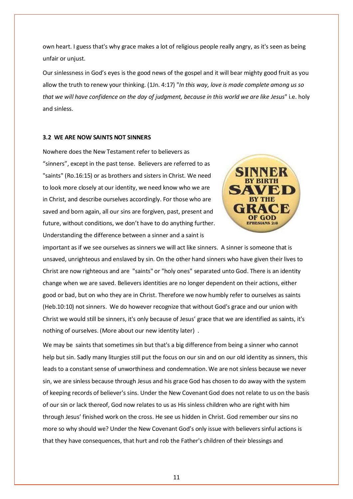own heart. I guess that's why grace makes a lot of religious people really angry, as it's seen as being unfair or unjust.

Our sinlessness in God's eyes is the good news of the gospel and it will bear mighty good fruit as you allow the truth to renew your thinking. (1Jn. 4:17) "*In this way, love is made complete among us so that we will have confidence on the day of judgment, because in this world we are like Jesus*" i.e. holy and sinless.

#### **3.2 WE ARE NOW SAINTS NOT SINNERS**

Nowhere does the New Testament refer to believers as "sinners", except in the past tense. Believers are referred to as "saints" (Ro.16:15) or as brothers and sisters in Christ. We need to look more closely at our identity, we need know who we are in Christ, and describe ourselves accordingly. For those who are saved and born again, all our sins are forgiven, past, present and future, without conditions, we don't have to do anything further. Understanding the difference between a sinner and a saint is



important as if we see ourselves as sinners we will act like sinners. A sinner is someone that is unsaved, unrighteous and enslaved by sin. On the other hand sinners who have given their lives to Christ are now righteous and are "saints" or "holy ones" separated unto God. There is an identity change when we are saved. Believers identities are no longer dependent on their actions, either good or bad, but on who they are in Christ. Therefore we now humbly refer to ourselves as saints (Heb.10:10) not sinners. We do however recognize that without God's grace and our union with Christ we would still be sinners, it's only because of Jesus' grace that we are identified as saints, it's nothing of ourselves. (More about our new identity later) .

We may be saints that sometimes sin but that's a big difference from being a sinner who cannot help but sin. Sadly many liturgies still put the focus on our sin and on our old identity as sinners, this leads to a constant sense of unworthiness and condemnation. We are not sinless because we never sin, we are sinless because through Jesus and his grace God has chosen to do away with the system of keeping records of believer's sins. Under the New Covenant God does not relate to us on the basis of our sin or lack thereof, God now relates to us as His sinless children who are right with him through Jesus' finished work on the cross. He see us hidden in Christ. God remember our sins no more so why should we? Under the New Covenant God's only issue with believers sinful actions is that they have consequences, that hurt and rob the Father's children of their blessings and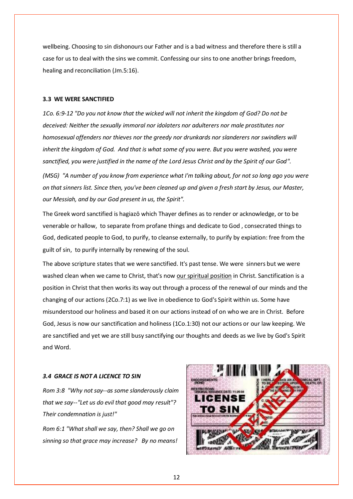wellbeing. Choosing to sin dishonours our Father and is a bad witness and therefore there is still a case for us to deal with the sins we commit. Confessing our sins to one another brings freedom, healing and reconciliation (Jm.5:16).

#### **3.3 WE WERE SANCTIFIED**

*1Co. 6:9-12 "Do you not know that the wicked will not inherit the kingdom of God? Do not be deceived: Neither the sexually immoral nor idolaters nor adulterers nor male prostitutes nor homosexual offenders nor thieves nor the greedy nor drunkards nor slanderers nor swindlers will inherit the kingdom of God. And that is what some of you were. But you were washed, you were sanctified, you were justified in the name of the Lord Jesus Christ and by the Spirit of our God". (MSG) "A number of you know from experience what I'm talking about, for not so long ago you were on that sinners list. Since then, you've been cleaned up and given a fresh start by Jesus, our Master, our Messiah, and by our God present in us, the Spirit".*

The Greek word sanctified is hagiazō which Thayer defines as to render or acknowledge, or to be venerable or hallow, to separate from profane things and dedicate to God , consecrated things to God, dedicated people to God, to purify, to cleanse externally, to purify by expiation: free from the guilt of sin, to purify internally by renewing of the soul.

The above scripture states that we were sanctified. It's past tense. We were sinners but we were washed clean when we came to Christ, that's now our spiritual position in Christ. Sanctification is a position in Christ that then works its way out through a process of the renewal of our minds and the changing of our actions (2Co.7:1) as we live in obedience to God's Spirit within us. Some have misunderstood our holiness and based it on our actions instead of on who we are in Christ. Before God, Jesus is now our sanctification and holiness (1Co.1:30) not our actions or our law keeping. We are sanctified and yet we are still busy sanctifying our thoughts and deeds as we live by God's Spirit and Word.

#### *3.4 GRACE IS NOT A LICENCE TO SIN*



*Rom 3:8 "Why not say--as some slanderously claim that we say--"Let us do evil that good may result"? Their condemnation is just!"*

*Rom 6:1 "What shall we say, then? Shall we go on sinning so that grace may increase? By no means!*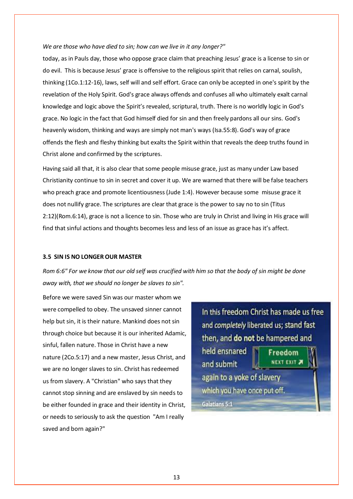#### *We are those who have died to sin; how can we live in it any longer?"*

today, as in Pauls day, those who oppose grace claim that preaching Jesus' grace is a license to sin or do evil. This is because Jesus' grace is offensive to the religious spirit that relies on carnal, soulish, thinking (1Co.1:12-16), laws, self will and self effort. Grace can only be accepted in one's spirit by the revelation of the Holy Spirit. God's grace always offends and confuses all who ultimately exalt carnal knowledge and logic above the Spirit's revealed, scriptural, truth. There is no worldly logic in God's grace. No logic in the fact that God himself died for sin and then freely pardons all our sins. God's heavenly wisdom, thinking and ways are simply not man's ways (Isa.55:8). God's way of grace offends the flesh and fleshy thinking but exalts the Spirit within that reveals the deep truths found in Christ alone and confirmed by the scriptures.

Having said all that, it is also clear that some people misuse grace, just as many under Law based Christianity continue to sin in secret and cover it up. We are warned that there will be false teachers who preach grace and promote licentiousness (Jude 1:4). However because some misuse grace it does not nullify grace. The scriptures are clear that grace is the power to say no to sin (Titus 2:12)(Rom.6:14), grace is not a licence to sin. Those who are truly in Christ and living in His grace will find that sinful actions and thoughts becomes less and less of an issue as grace has it's affect.

#### **3.5 SIN IS NO LONGER OUR MASTER**

*Rom 6:6" For we know that our old self was crucified with him so that the body of sin might be done away with, that we should no longer be slaves to sin".*

Before we were saved Sin was our master whom we were compelled to obey. The unsaved sinner cannot help but sin, it is their nature. Mankind does not sin through choice but because it is our inherited Adamic, sinful, fallen nature. Those in Christ have a new nature (2Co.5:17) and a new master, Jesus Christ, and we are no longer slaves to sin. Christ has redeemed us from slavery. A "Christian" who says that they cannot stop sinning and are enslaved by sin needs to be either founded in grace and their identity in Christ, or needs to seriously to ask the question "Am I really saved and born again?"

In this freedom Christ has made us free and completely liberated us; stand fast then, and do not be hampered and held ensnared Freedom

**NEXT EXIT A** and submit again to a yoke of slavery which you have once put off. Galatians 5:1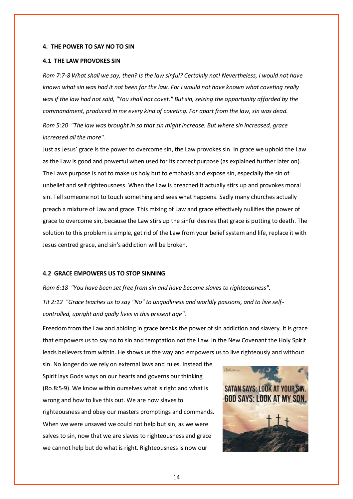#### **4. THE POWER TO SAY NO TO SIN**

#### **4.1 THE LAW PROVOKES SIN**

*Rom 7:7-8 What shall we say, then? Is the law sinful? Certainly not! Nevertheless, I would not have known what sin was had it not been for the law. For I would not have known what coveting really was if the law had not said, "You shall not covet." But sin, seizing the opportunity afforded by the commandment, produced in me every kind of coveting. For apart from the law, sin was dead.* 

*Rom 5:20 "The law was brought in so that sin might increase. But where sin increased, grace increased all the more".*

Just as Jesus' grace is the power to overcome sin, the Law provokes sin. In grace we uphold the Law as the Law is good and powerful when used for its correct purpose (as explained further later on). The Laws purpose is not to make us holy but to emphasis and expose sin, especially the sin of unbelief and self righteousness. When the Law is preached it actually stirs up and provokes moral sin. Tell someone not to touch something and sees what happens. Sadly many churches actually preach a mixture of Law and grace. This mixing of Law and grace effectively nullifies the power of grace to overcome sin, because the Law stirs up the sinful desires that grace is putting to death. The solution to this problem is simple, get rid of the Law from your belief system and life, replace it with Jesus centred grace, and sin's addiction will be broken.

#### **4.2 GRACE EMPOWERS US TO STOP SINNING**

*Rom 6:18 "You have been set free from sin and have become slaves to righteousness". Tit 2:12 "Grace teaches us to say "No" to ungodliness and worldly passions, and to live selfcontrolled, upright and godly lives in this present age".*

Freedom from the Law and abiding in grace breaks the power of sin addiction and slavery. It is grace that empowers us to say no to sin and temptation not the Law. In the New Covenant the Holy Spirit leads believers from within. He shows us the way and empowers us to live righteously and without

sin. No longer do we rely on external laws and rules. Instead the Spirit lays Gods ways on our hearts and governs our thinking (Ro.8:5-9). We know within ourselves what is right and what is wrong and how to live this out. We are now slaves to righteousness and obey our masters promptings and commands. When we were unsaved we could not help but sin, as we were salves to sin, now that we are slaves to righteousness and grace we cannot help but do what is right. Righteousness is now our

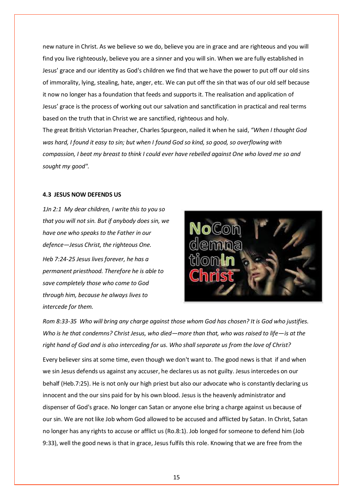new nature in Christ. As we believe so we do, believe you are in grace and are righteous and you will find you live righteously, believe you are a sinner and you will sin. When we are fully established in Jesus' grace and our identity as God's children we find that we have the power to put off our old sins of immorality, lying, stealing, hate, anger, etc. We can put off the sin that was of our old self because it now no longer has a foundation that feeds and supports it. The realisation and application of Jesus' grace is the process of working out our salvation and sanctification in practical and real terms based on the truth that in Christ we are sanctified, righteous and holy.

The great British Victorian Preacher, Charles Spurgeon, nailed it when he said, *"When I thought God was hard, I found it easy to sin; but when I found God so kind, so good, so overflowing with compassion, I beat my breast to think I could ever have rebelled against One who loved me so and sought my good".* 

#### **4.3 JESUS NOW DEFENDS US**

*1Jn 2:1 My dear children, I write this to you so that you will not sin. But if anybody does sin, we have one who speaks to the Father in our defence—Jesus Christ, the righteous One. Heb 7:24-25 Jesus lives forever, he has a permanent priesthood. Therefore he is able to save completely those who come to God through him, because he always lives to intercede for them.* 



*Rom 8:33-35 Who will bring any charge against those whom God has chosen? It is God who justifies. Who is he that condemns? Christ Jesus, who died—more than that, who was raised to life—is at the right hand of God and is also interceding for us. Who shall separate us from the love of Christ?*

Every believer sins at some time, even though we don't want to. The good news is that if and when we sin Jesus defends us against any accuser, he declares us as not guilty. Jesus intercedes on our behalf (Heb.7:25). He is not only our high priest but also our advocate who is constantly declaring us innocent and the our sins paid for by his own blood. Jesus is the heavenly administrator and dispenser of God's grace. No longer can Satan or anyone else bring a charge against us because of our sin. We are not like Job whom God allowed to be accused and afflicted by Satan. In Christ, Satan no longer has any rights to accuse or afflict us (Ro.8:1). Job longed for someone to defend him (Job 9:33), well the good news is that in grace, Jesus fulfils this role. Knowing that we are free from the